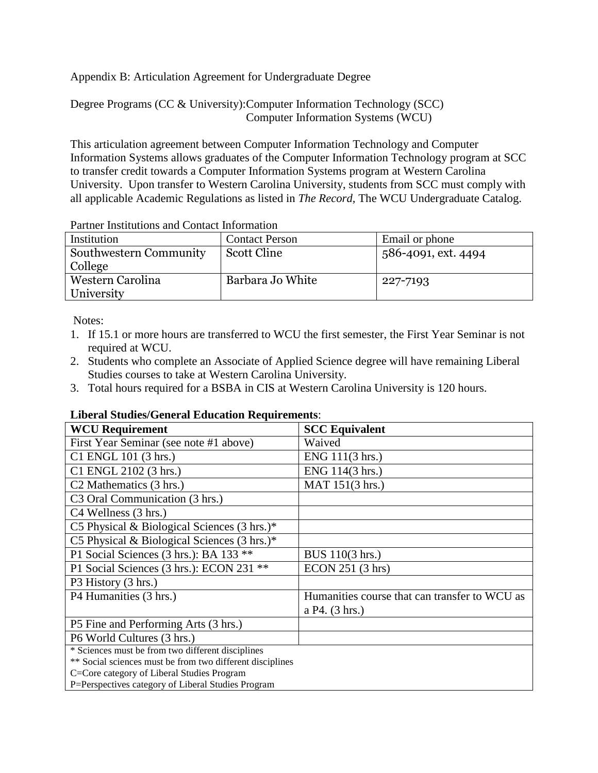Appendix B: Articulation Agreement for Undergraduate Degree

Degree Programs (CC & University):Computer Information Technology (SCC) Computer Information Systems (WCU)

This articulation agreement between Computer Information Technology and Computer Information Systems allows graduates of the Computer Information Technology program at SCC to transfer credit towards a Computer Information Systems program at Western Carolina University. Upon transfer to Western Carolina University, students from SCC must comply with all applicable Academic Regulations as listed in *The Record,* The WCU Undergraduate Catalog.

| <u>i arancı moduationo anu contact mitorination</u> |                       |                     |  |
|-----------------------------------------------------|-----------------------|---------------------|--|
| Institution                                         | <b>Contact Person</b> | Email or phone      |  |
| Southwestern Community                              | Scott Cline           | 586-4091, ext. 4494 |  |
| College                                             |                       |                     |  |
| Western Carolina                                    | Barbara Jo White      | 227-7193            |  |
| University                                          |                       |                     |  |
|                                                     |                       |                     |  |

Partner Institutions and Contact Information

Notes:

- 1. If 15.1 or more hours are transferred to WCU the first semester, the First Year Seminar is not required at WCU.
- 2. Students who complete an Associate of Applied Science degree will have remaining Liberal Studies courses to take at Western Carolina University.
- 3. Total hours required for a BSBA in CIS at Western Carolina University is 120 hours.

## **Liberal Studies/General Education Requirements**:

| <b>WCU Requirement</b>                                    | <b>SCC Equivalent</b>                         |
|-----------------------------------------------------------|-----------------------------------------------|
| First Year Seminar (see note #1 above)                    | Waived                                        |
| C1 ENGL 101 (3 hrs.)                                      | ENG 111(3 hrs.)                               |
| C1 ENGL 2102 (3 hrs.)                                     | ENG 114(3 hrs.)                               |
| C <sub>2</sub> Mathematics (3 hrs.)                       | MAT 151(3 hrs.)                               |
| C <sub>3</sub> Oral Communication (3 hrs.)                |                                               |
| C4 Wellness (3 hrs.)                                      |                                               |
| C5 Physical & Biological Sciences $(3 \text{ hrs.})^*$    |                                               |
| C5 Physical & Biological Sciences $(3 \text{ hrs.})^*$    |                                               |
| P1 Social Sciences (3 hrs.): BA 133 **                    | BUS 110(3 hrs.)                               |
| P1 Social Sciences (3 hrs.): ECON 231 **                  | ECON 251 (3 hrs)                              |
| P3 History (3 hrs.)                                       |                                               |
| P4 Humanities (3 hrs.)                                    | Humanities course that can transfer to WCU as |
|                                                           | a P4. (3 hrs.)                                |
| P5 Fine and Performing Arts (3 hrs.)                      |                                               |
| P6 World Cultures (3 hrs.)                                |                                               |
| * Sciences must be from two different disciplines         |                                               |
| ** Social sciences must be from two different disciplines |                                               |
| C=Core category of Liberal Studies Program                |                                               |
| P=Perspectives category of Liberal Studies Program        |                                               |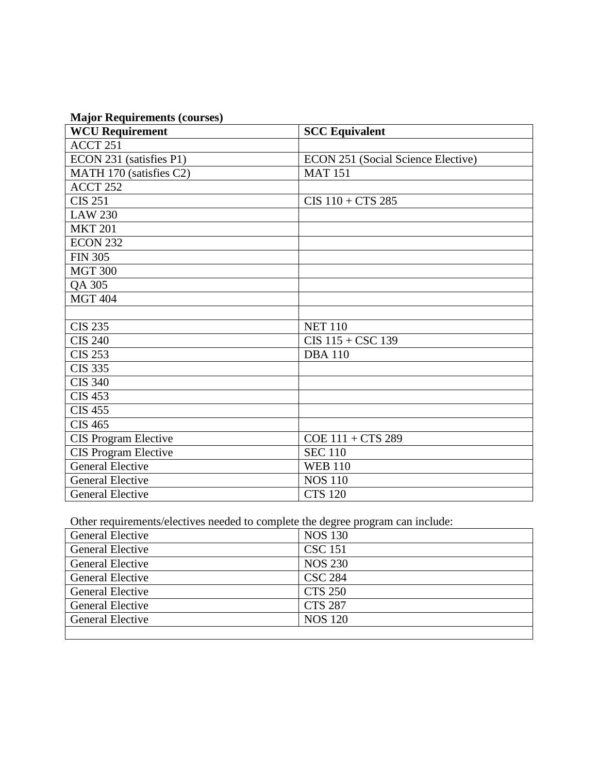|  | <b>Major Requirements (courses)</b> |  |
|--|-------------------------------------|--|
|  |                                     |  |

| <b>WCU Requirement</b>      | <b>SCC Equivalent</b>                     |
|-----------------------------|-------------------------------------------|
| ACCT 251                    |                                           |
| ECON 231 (satisfies P1)     | <b>ECON 251 (Social Science Elective)</b> |
| MATH 170 (satisfies C2)     | <b>MAT 151</b>                            |
| ACCT <sub>252</sub>         |                                           |
| <b>CIS 251</b>              | $CIS$ 110 + $CTS$ 285                     |
| <b>LAW 230</b>              |                                           |
| <b>MKT 201</b>              |                                           |
| <b>ECON 232</b>             |                                           |
| <b>FIN 305</b>              |                                           |
| <b>MGT 300</b>              |                                           |
| QA 305                      |                                           |
| <b>MGT 404</b>              |                                           |
|                             |                                           |
| <b>CIS 235</b>              | <b>NET 110</b>                            |
| <b>CIS 240</b>              | $CIS$ 115 + $CSC$ 139                     |
| <b>CIS 253</b>              | <b>DBA110</b>                             |
| <b>CIS 335</b>              |                                           |
| <b>CIS 340</b>              |                                           |
| <b>CIS 453</b>              |                                           |
| <b>CIS 455</b>              |                                           |
| <b>CIS 465</b>              |                                           |
| <b>CIS Program Elective</b> | COE 111 + CTS 289                         |
| <b>CIS Program Elective</b> | <b>SEC 110</b>                            |
| <b>General Elective</b>     | <b>WEB 110</b>                            |
| <b>General Elective</b>     | <b>NOS 110</b>                            |
| <b>General Elective</b>     | <b>CTS 120</b>                            |

Other requirements/electives needed to complete the degree program can include:

| General Elective        | <b>NOS 130</b> |
|-------------------------|----------------|
| <b>General Elective</b> | <b>CSC 151</b> |
| <b>General Elective</b> | <b>NOS 230</b> |
| General Elective        | <b>CSC 284</b> |
| General Elective        | <b>CTS 250</b> |
| General Elective        | <b>CTS 287</b> |
| <b>General Elective</b> | <b>NOS 120</b> |
|                         |                |